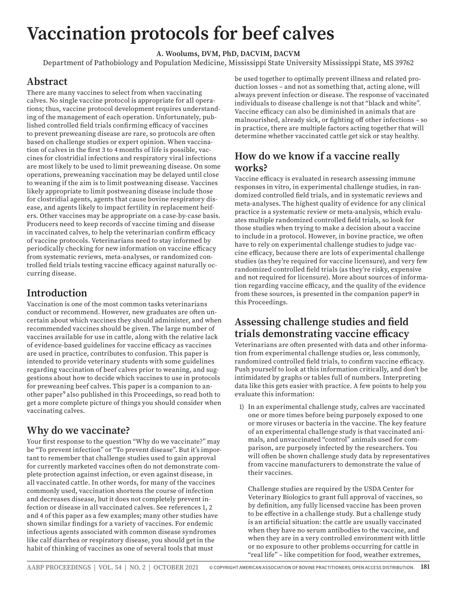# **Vaccination protocols for beef calves**

**A. Woolums, DVM, PhD, DACVIM, DACVM**

Department of Pathobiology and Population Medicine, Mississippi State University Mississippi State, MS 39762

#### **Abstract**

There are many vaccines to select from when vaccinating calves. No single vaccine protocol is appropriate for all operations; thus, vaccine protocol development requires understanding of the management of each operation. Unfortunately, published controlled field trials confirming efficacy of vaccines to prevent preweaning disease are rare, so protocols are often based on challenge studies or expert opinion. When vaccination of calves in the first 3 to 4 months of life is possible, vaccines for clostridial infections and respiratory viral infections are most likely to be used to limit preweaning disease. On some operations, preweaning vaccination may be delayed until close to weaning if the aim is to limit postweaning disease. Vaccines likely appropriate to limit postweaning disease include those for clostridial agents, agents that cause bovine respiratory disease, and agents likely to impact fertility in replacement heifers. Other vaccines may be appropriate on a case-by-case basis. Producers need to keep records of vaccine timing and disease in vaccinated calves, to help the veterinarian confirm efficacy of vaccine protocols. Veterinarians need to stay informed by periodically checking for new information on vaccine efficacy from systematic reviews, meta-analyses, or randomized controlled field trials testing vaccine efficacy against naturally occurring disease.

### **Introduction**

Vaccination is one of the most common tasks veterinarians conduct or recommend. However, new graduates are often uncertain about which vaccines they should administer, and when recommended vaccines should be given. The large number of vaccines available for use in cattle, along with the relative lack of evidence-based guidelines for vaccine efficacy as vaccines are used in practice, contributes to confusion. This paper is intended to provide veterinary students with some guidelines regarding vaccination of beef calves prior to weaning, and suggestions about how to decide which vaccines to use in protocols for preweaning beef calves. This paper is a companion to another paper<sup>9</sup> also published in this Proceedings, so read both to get a more complete picture of things you should consider when vaccinating calves.

# **Why do we vaccinate?**

Your first response to the question "Why do we vaccinate?" may be "To prevent infection" or "To prevent disease". But it's important to remember that challenge studies used to gain approval for currently marketed vaccines often do not demonstrate complete protection against infection, or even against disease, in all vaccinated cattle. In other words, for many of the vaccines commonly used, vaccination shortens the course of infection and decreases disease, but it does not completely prevent infection or disease in all vaccinated calves. See references 1, 2 and 4 of this paper as a few examples; many other studies have shown similar findings for a variety of vaccines. For endemic infectious agents associated with common disease syndromes like calf diarrhea or respiratory disease, you should get in the habit of thinking of vaccines as one of several tools that must

be used together to optimally prevent illness and related production losses – and not as something that, acting alone, will always prevent infection or disease. The response of vaccinated individuals to disease challenge is not that "black and white". Vaccine efficacy can also be diminished in animals that are malnourished, already sick, or fighting off other infections – so in practice, there are multiple factors acting together that will determine whether vaccinated cattle get sick or stay healthy.

# **How do we know if a vaccine really works?**

Vaccine efficacy is evaluated in research assessing immune responses in vitro, in experimental challenge studies, in randomized controlled field trials, and in systematic reviews and meta-analyses. The highest quality of evidence for any clinical practice is a systematic review or meta-analysis, which evaluates multiple randomized controlled field trials, so look for those studies when trying to make a decision about a vaccine to include in a protocol. However, in bovine practice, we often have to rely on experimental challenge studies to judge vaccine efficacy, because there are lots of experimental challenge studies (as they're required for vaccine licensure), and very few randomized controlled field trials (as they're risky, expensive and not required for licensure). More about sources of information regarding vaccine efficacy, and the quality of the evidence from these sources, is presented in the companion paper9 in this Proceedings.

# **Assessing challenge studies and field trials demonstrating vaccine efficacy**

Veterinarians are often presented with data and other information from experimental challenge studies or, less commonly, randomized controlled field trials, to confirm vaccine efficacy. Push yourself to look at this information critically, and don't be intimidated by graphs or tables full of numbers. Interpreting data like this gets easier with practice. A few points to help you evaluate this information:

1) In an experimental challenge study, calves are vaccinated one or more times before being purposely exposed to one or more viruses or bacteria in the vaccine. The key feature of an experimental challenge study is that vaccinated animals, and unvaccinated "control" animals used for comparison, are purposely infected by the researchers. You will often be shown challenge study data by representatives from vaccine manufacturers to demonstrate the value of their vaccines.

Challenge studies are required by the USDA Center for Veterinary Biologics to grant full approval of vaccines, so by definition, any fully licensed vaccine has been proven to be effective in a challenge study. But a challenge study is an artificial situation: the cattle are usually vaccinated when they have no serum antibodies to the vaccine, and when they are in a very controlled environment with little or no exposure to other problems occurring for cattle in "real life" – like competition for food, weather extremes,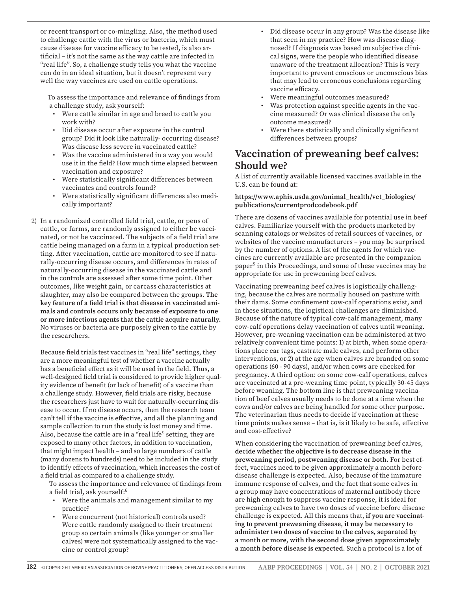or recent transport or co-mingling. Also, the method used to challenge cattle with the virus or bacteria, which must cause disease for vaccine efficacy to be tested, is also artificial – it's not the same as the way cattle are infected in "real life". So, a challenge study tells you what the vaccine can do in an ideal situation, but it doesn't represent very well the way vaccines are used on cattle operations.

To assess the importance and relevance of findings from a challenge study, ask yourself:

- Were cattle similar in age and breed to cattle you work with?
- Did disease occur after exposure in the control group? Did it look like naturally- occurring disease? Was disease less severe in vaccinated cattle?
- Was the vaccine administered in a way you would use it in the field? How much time elapsed between vaccination and exposure?
- Were statistically significant differences between vaccinates and controls found?
- Were statistically significant differences also medically important?
- 2) In a randomized controlled field trial, cattle, or pens of cattle, or farms, are randomly assigned to either be vaccinated, or not be vaccinated. The subjects of a field trial are cattle being managed on a farm in a typical production setting. After vaccination, cattle are monitored to see if naturally-occurring disease occurs, and differences in rates of naturally-occurring disease in the vaccinated cattle and in the controls are assessed after some time point. Other outcomes, like weight gain, or carcass characteristics at slaughter, may also be compared between the groups. **The key feature of a field trial is that disease in vaccinated animals and controls occurs only because of exposure to one or more infectious agents that the cattle acquire naturally.** No viruses or bacteria are purposely given to the cattle by the researchers.

Because field trials test vaccines in "real life" settings, they are a more meaningful test of whether a vaccine actually has a beneficial effect as it will be used in the field. Thus, a well-designed field trial is considered to provide higher quality evidence of benefit (or lack of benefit) of a vaccine than a challenge study. However, field trials are risky, because the researchers just have to wait for naturally-occurring disease to occur. If no disease occurs, then the research team can't tell if the vaccine is effective, and all the planning and sample collection to run the study is lost money and time. Also, because the cattle are in a "real life" setting, they are exposed to many other factors, in addition to vaccination, that might impact health – and so large numbers of cattle (many dozens to hundreds) need to be included in the study to identify effects of vaccination, which increases the cost of a field trial as compared to a challenge study.

 To assess the importance and relevance of findings from a field trial, ask yourself:6

- Were the animals and management similar to my practice?
- Were concurrent (not historical) controls used? Were cattle randomly assigned to their treatment group so certain animals (like younger or smaller calves) were not systematically assigned to the vaccine or control group?
- Did disease occur in any group? Was the disease like that seen in my practice? How was disease diagnosed? If diagnosis was based on subjective clinical signs, were the people who identified disease unaware of the treatment allocation? This is very important to prevent conscious or unconscious bias that may lead to erroneous conclusions regarding vaccine efficacy.
- Were meaningful outcomes measured?
- Was protection against specific agents in the vaccine measured? Or was clinical disease the only outcome measured?
- Were there statistically and clinically significant differences between groups?

### **Vaccination of preweaning beef calves: Should we?**

A list of currently available licensed vaccines available in the U.S. can be found at:

#### **https://www.aphis.usda.gov/animal\_health/vet\_biologics/ publications/currentprodcodebook.pdf**

There are dozens of vaccines available for potential use in beef calves. Familiarize yourself with the products marketed by scanning catalogs or websites of retail sources of vaccines, or websites of the vaccine manufacturers – you may be surprised by the number of options. A list of the agents for which vaccines are currently available are presented in the companion paper9 in this Proceedings, and some of these vaccines may be appropriate for use in preweaning beef calves.

Vaccinating preweaning beef calves is logistically challenging, because the calves are normally housed on pasture with their dams. Some confinement cow-calf operations exist, and in these situations, the logistical challenges are diminished. Because of the nature of typical cow-calf management, many cow-calf operations delay vaccination of calves until weaning. However, pre-weaning vaccination can be administered at two relatively convenient time points: 1) at birth, when some operations place ear tags, castrate male calves, and perform other interventions, or 2) at the age when calves are branded on some operations (60 - 90 days), and/or when cows are checked for pregnancy. A third option: on some cow-calf operations, calves are vaccinated at a pre-weaning time point, typically 30-45 days before weaning. The bottom line is that preweaning vaccination of beef calves usually needs to be done at a time when the cows and/or calves are being handled for some other purpose. The veterinarian thus needs to decide if vaccination at these time points makes sense – that is, is it likely to be safe, effective and cost-effective?

When considering the vaccination of preweaning beef calves, **decide whether the objective is to decrease disease in the preweaning period, postweaning disease or both.** For best effect, vaccines need to be given approximately a month before disease challenge is expected. Also, because of the immature immune response of calves, and the fact that some calves in a group may have concentrations of maternal antibody there are high enough to suppress vaccine response, it is ideal for preweaning calves to have two doses of vaccine before disease challenge is expected. All this means that, **if you are vaccinating to prevent preweaning disease, it may be necessary to administer two doses of vaccine to the calves, separated by a month or more, with the second dose given approximately a month before disease is expected.** Such a protocol is a lot of